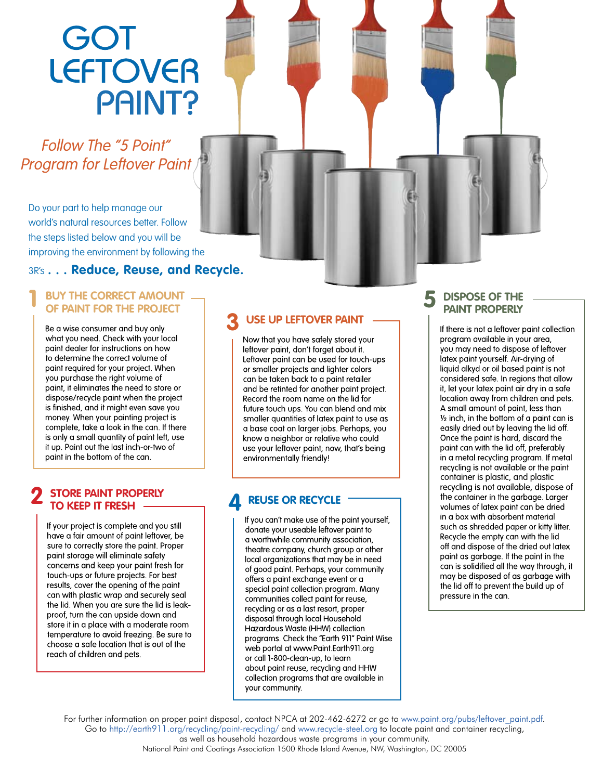# **GOT<br>LEFTOVER PAINT?**

Follow The "5 Point" Program for Leftover Paint

Do your part to help manage our world's natural resources better. Follow the steps listed below and you will be improving the environment by following the

#### 3R's **. . . Reduce, Reuse, and Recycle.**

#### **1 BUY THE CORRECT AMOUNT OF PAINT FOR THE PROJECT**

Be a wise consumer and buy only what you need. Check with your local paint dealer for instructions on how to determine the correct volume of paint required for your project. When you purchase the right volume of paint, it eliminates the need to store or dispose/recycle paint when the project is finished, and it might even save you money. When your painting project is complete, take a look in the can. If there is only a small avantity of paint left, use it up. Paint out the last inch-or-two of paint in the bottom of the can.

#### **2 STORE PAINT PROPERLY TO KEEP IT FRESH**

If your project is complete and you still have a fair amount of paint leftover, be sure to correctly store the paint. Proper paint storage will eliminate safety concerns and keep your paint fresh for touch-ups or future projects. For best results, cover the opening of the paint can with plastic wrap and securely seal the lid. When you are sure the lid is leakproof, turn the can upside down and store it in a place with a moderate room temperature to avoid freezing. Be sure to choose a safe location that is out of the reach of children and pets.

## **USE UP LEFTOVER PAINT** -<br>Now that you have safely stored your

leftover paint, don't forget about it. Leftover paint can be used for touch-ups or smaller projects and lighter colors can be taken back to a paint retailer and be retinted for another paint project. Record the room name on the lid for future touch ups. You can blend and mix smaller quantities of latex paint to use as a base coat on larger jobs. Perhaps, you know a neighbor or relative who could use your leftover paint; now, that's being environmentally friendly!

donate your useable leftover paint to a worthwhile community association, theatre company, church group or other local organizations that may be in need of good paint. Perhaps, your community offers a paint exchange event or a special paint collection program. Many communities collect paint for reuse, recycling or as a last resort, proper disposal through local Household Hazardous Waste (HHW) collection programs. Check the "Earth 911" Paint Wise web portal at www.Paint.Earth911.org or call 1-800-clean-up, to learn about paint reuse, recycling and HHW collection programs that are available in your community.

#### **5 DISPOSE OF THE PAINT PROPERLY**

If there is not a leftover paint collection program available in your area, you may need to dispose of leftover latex paint yourself. Air-drying of liquid alkyd or oil based paint is not considered safe. In regions that allow it, let your latex paint air dry in a safe location away from children and pets. A small amount of paint, less than 1/2 inch, in the bottom of a paint can is easily dried out by leaving the lid off. Once the paint is hard, discard the paint can with the lid off, preferably in a metal recycling program. If metal recycling is not available or the paint container is plastic, and plastic **REUSE OR RECYCLE** the container in the garbage. Larger<br>If you can't make use of the paint yourself, the container in the garbage. Larger<br>If you can't make use of the paint yourself, such as shredded paper or kitty litter. Recycle the empty can with the lid off and dispose of the dried out latex paint as garbage. If the paint in the can is solidified all the way through, it may be disposed of as garbage with the lid off to prevent the build up of pressure in the can.

For further information on proper paint disposal, contact NPCA at 202-462-6272 or go to www.paint.org/pubs/leftover\_paint.pdf. Go to http://earth911.org/recycling/paint-recycling/ and www.recycle-steel.org to locate paint and container recycling, as well as household hazardous waste programs in your community.

National Paint and Coatings Association 1500 Rhode Island Avenue, NW, Washington, DC 20005